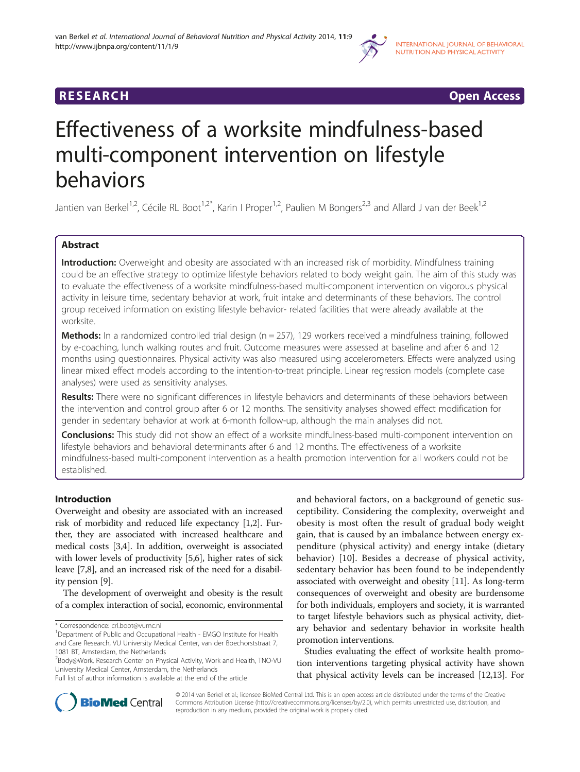

## **RESEARCH RESEARCH** *CHECKER CHECKER CHECKER CHECKER CHECKER CHECKER CHECKER CHECKER CHECKER CHECKER CHECKER*

# Effectiveness of a worksite mindfulness-based multi-component intervention on lifestyle behaviors

Jantien van Berkel<sup>1,2</sup>, Cécile RL Boot<sup>1,2\*</sup>, Karin I Proper<sup>1,2</sup>, Paulien M Bongers<sup>2,3</sup> and Allard J van der Beek<sup>1,2</sup>

## Abstract

Introduction: Overweight and obesity are associated with an increased risk of morbidity. Mindfulness training could be an effective strategy to optimize lifestyle behaviors related to body weight gain. The aim of this study was to evaluate the effectiveness of a worksite mindfulness-based multi-component intervention on vigorous physical activity in leisure time, sedentary behavior at work, fruit intake and determinants of these behaviors. The control group received information on existing lifestyle behavior- related facilities that were already available at the worksite.

**Methods:** In a randomized controlled trial design ( $n = 257$ ), 129 workers received a mindfulness training, followed by e-coaching, lunch walking routes and fruit. Outcome measures were assessed at baseline and after 6 and 12 months using questionnaires. Physical activity was also measured using accelerometers. Effects were analyzed using linear mixed effect models according to the intention-to-treat principle. Linear regression models (complete case analyses) were used as sensitivity analyses.

Results: There were no significant differences in lifestyle behaviors and determinants of these behaviors between the intervention and control group after 6 or 12 months. The sensitivity analyses showed effect modification for gender in sedentary behavior at work at 6-month follow-up, although the main analyses did not.

**Conclusions:** This study did not show an effect of a worksite mindfulness-based multi-component intervention on lifestyle behaviors and behavioral determinants after 6 and 12 months. The effectiveness of a worksite mindfulness-based multi-component intervention as a health promotion intervention for all workers could not be established.

## Introduction

Overweight and obesity are associated with an increased risk of morbidity and reduced life expectancy [[1,2](#page-9-0)]. Further, they are associated with increased healthcare and medical costs [\[3,4\]](#page-9-0). In addition, overweight is associated with lower levels of productivity [\[5,6](#page-9-0)], higher rates of sick leave [\[7,8](#page-9-0)], and an increased risk of the need for a disability pension [\[9\]](#page-9-0).

The development of overweight and obesity is the result of a complex interaction of social, economic, environmental

and behavioral factors, on a background of genetic susceptibility. Considering the complexity, overweight and obesity is most often the result of gradual body weight gain, that is caused by an imbalance between energy expenditure (physical activity) and energy intake (dietary behavior) [[10\]](#page-9-0). Besides a decrease of physical activity, sedentary behavior has been found to be independently associated with overweight and obesity [\[11\]](#page-9-0). As long-term consequences of overweight and obesity are burdensome for both individuals, employers and society, it is warranted to target lifestyle behaviors such as physical activity, dietary behavior and sedentary behavior in worksite health promotion interventions.

Studies evaluating the effect of worksite health promotion interventions targeting physical activity have shown that physical activity levels can be increased [\[12,13\]](#page-9-0). For



© 2014 van Berkel et al.; licensee BioMed Central Ltd. This is an open access article distributed under the terms of the Creative Commons Attribution License [\(http://creativecommons.org/licenses/by/2.0\)](http://creativecommons.org/licenses/by/2.0), which permits unrestricted use, distribution, and reproduction in any medium, provided the original work is properly cited.

<sup>\*</sup> Correspondence: [crl.boot@vumc.nl](mailto:crl.boot@vumc.nl) <sup>1</sup>

<sup>&</sup>lt;sup>1</sup>Department of Public and Occupational Health - EMGO Institute for Health and Care Research, VU University Medical Center, van der Boechorststraat 7, 1081 BT, Amsterdam, the Netherlands

<sup>&</sup>lt;sup>2</sup>Body@Work, Research Center on Physical Activity, Work and Health, TNO-VU University Medical Center, Amsterdam, the Netherlands

Full list of author information is available at the end of the article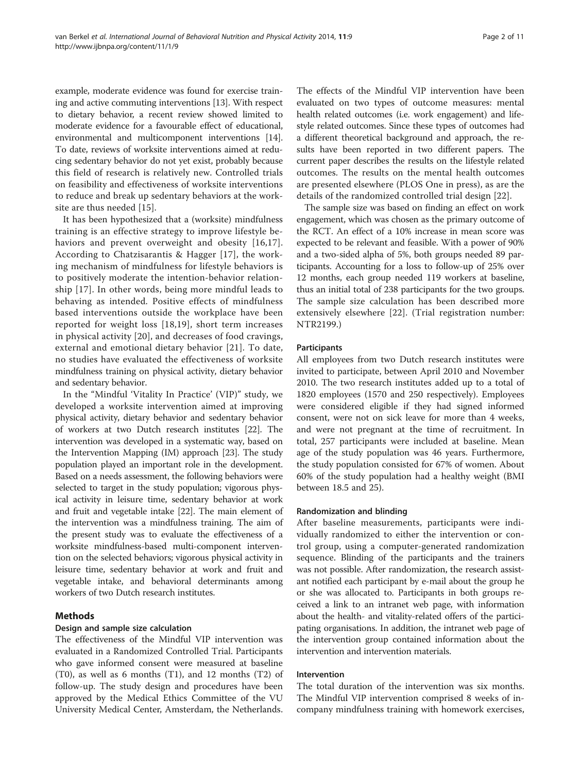example, moderate evidence was found for exercise training and active commuting interventions [\[13](#page-9-0)]. With respect to dietary behavior, a recent review showed limited to moderate evidence for a favourable effect of educational, environmental and multicomponent interventions [[14](#page-9-0)]. To date, reviews of worksite interventions aimed at reducing sedentary behavior do not yet exist, probably because this field of research is relatively new. Controlled trials on feasibility and effectiveness of worksite interventions to reduce and break up sedentary behaviors at the worksite are thus needed [\[15](#page-9-0)].

It has been hypothesized that a (worksite) mindfulness training is an effective strategy to improve lifestyle be-haviors and prevent overweight and obesity [\[16,17](#page-9-0)]. According to Chatzisarantis & Hagger [[17](#page-9-0)], the working mechanism of mindfulness for lifestyle behaviors is to positively moderate the intention-behavior relationship [[17](#page-9-0)]. In other words, being more mindful leads to behaving as intended. Positive effects of mindfulness based interventions outside the workplace have been reported for weight loss [[18](#page-9-0),[19\]](#page-10-0), short term increases in physical activity [[20](#page-10-0)], and decreases of food cravings, external and emotional dietary behavior [[21\]](#page-10-0). To date, no studies have evaluated the effectiveness of worksite mindfulness training on physical activity, dietary behavior and sedentary behavior.

In the "Mindful 'Vitality In Practice' (VIP)" study, we developed a worksite intervention aimed at improving physical activity, dietary behavior and sedentary behavior of workers at two Dutch research institutes [\[22](#page-10-0)]. The intervention was developed in a systematic way, based on the Intervention Mapping (IM) approach [\[23\]](#page-10-0). The study population played an important role in the development. Based on a needs assessment, the following behaviors were selected to target in the study population; vigorous physical activity in leisure time, sedentary behavior at work and fruit and vegetable intake [\[22](#page-10-0)]. The main element of the intervention was a mindfulness training. The aim of the present study was to evaluate the effectiveness of a worksite mindfulness-based multi-component intervention on the selected behaviors; vigorous physical activity in leisure time, sedentary behavior at work and fruit and vegetable intake, and behavioral determinants among workers of two Dutch research institutes.

## Methods

## Design and sample size calculation

The effectiveness of the Mindful VIP intervention was evaluated in a Randomized Controlled Trial. Participants who gave informed consent were measured at baseline (T0), as well as 6 months (T1), and 12 months (T2) of follow-up. The study design and procedures have been approved by the Medical Ethics Committee of the VU University Medical Center, Amsterdam, the Netherlands.

The effects of the Mindful VIP intervention have been evaluated on two types of outcome measures: mental health related outcomes (i.e. work engagement) and lifestyle related outcomes. Since these types of outcomes had a different theoretical background and approach, the results have been reported in two different papers. The current paper describes the results on the lifestyle related outcomes. The results on the mental health outcomes are presented elsewhere (PLOS One in press), as are the details of the randomized controlled trial design [\[22](#page-10-0)].

The sample size was based on finding an effect on work engagement, which was chosen as the primary outcome of the RCT. An effect of a 10% increase in mean score was expected to be relevant and feasible. With a power of 90% and a two-sided alpha of 5%, both groups needed 89 participants. Accounting for a loss to follow-up of 25% over 12 months, each group needed 119 workers at baseline, thus an initial total of 238 participants for the two groups. The sample size calculation has been described more extensively elsewhere [\[22](#page-10-0)]. (Trial registration number: NTR2199.)

#### Participants

All employees from two Dutch research institutes were invited to participate, between April 2010 and November 2010. The two research institutes added up to a total of 1820 employees (1570 and 250 respectively). Employees were considered eligible if they had signed informed consent, were not on sick leave for more than 4 weeks, and were not pregnant at the time of recruitment. In total, 257 participants were included at baseline. Mean age of the study population was 46 years. Furthermore, the study population consisted for 67% of women. About 60% of the study population had a healthy weight (BMI between 18.5 and 25).

#### Randomization and blinding

After baseline measurements, participants were individually randomized to either the intervention or control group, using a computer-generated randomization sequence. Blinding of the participants and the trainers was not possible. After randomization, the research assistant notified each participant by e-mail about the group he or she was allocated to. Participants in both groups received a link to an intranet web page, with information about the health- and vitality-related offers of the participating organisations. In addition, the intranet web page of the intervention group contained information about the intervention and intervention materials.

## Intervention

The total duration of the intervention was six months. The Mindful VIP intervention comprised 8 weeks of incompany mindfulness training with homework exercises,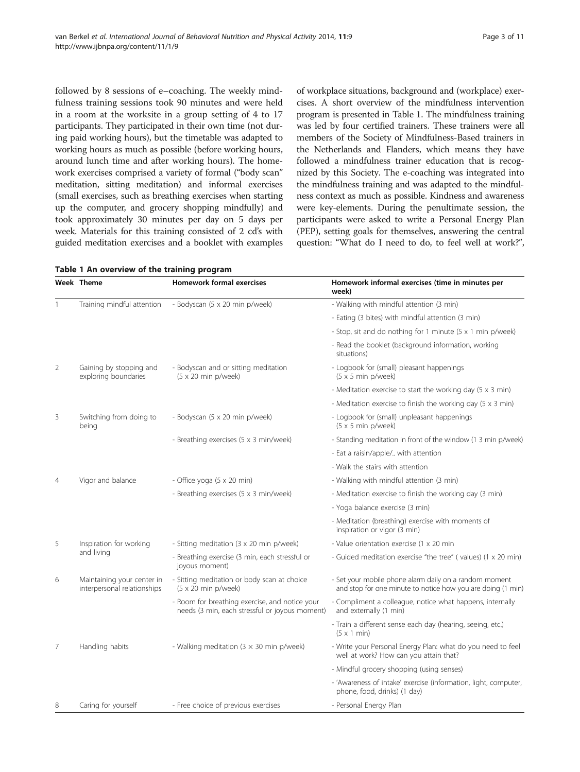followed by 8 sessions of e–coaching. The weekly mindfulness training sessions took 90 minutes and were held in a room at the worksite in a group setting of 4 to 17 participants. They participated in their own time (not during paid working hours), but the timetable was adapted to working hours as much as possible (before working hours, around lunch time and after working hours). The homework exercises comprised a variety of formal ("body scan" meditation, sitting meditation) and informal exercises (small exercises, such as breathing exercises when starting up the computer, and grocery shopping mindfully) and took approximately 30 minutes per day on 5 days per week. Materials for this training consisted of 2 cd's with guided meditation exercises and a booklet with examples of workplace situations, background and (workplace) exercises. A short overview of the mindfulness intervention program is presented in Table 1. The mindfulness training was led by four certified trainers. These trainers were all members of the Society of Mindfulness-Based trainers in the Netherlands and Flanders, which means they have followed a mindfulness trainer education that is recognized by this Society. The e-coaching was integrated into the mindfulness training and was adapted to the mindfulness context as much as possible. Kindness and awareness were key-elements. During the penultimate session, the participants were asked to write a Personal Energy Plan (PEP), setting goals for themselves, answering the central question: "What do I need to do, to feel well at work?",

|                | Week Theme                                                | <b>Homework formal exercises</b>                                                                 | Homework informal exercises (time in minutes per<br>week)                                                             |  |  |  |
|----------------|-----------------------------------------------------------|--------------------------------------------------------------------------------------------------|-----------------------------------------------------------------------------------------------------------------------|--|--|--|
| $\mathbf{1}$   | Training mindful attention                                | - Bodyscan (5 x 20 min p/week)                                                                   | - Walking with mindful attention (3 min)                                                                              |  |  |  |
|                |                                                           |                                                                                                  | - Eating (3 bites) with mindful attention (3 min)                                                                     |  |  |  |
|                |                                                           |                                                                                                  | - Stop, sit and do nothing for 1 minute (5 x 1 min p/week)                                                            |  |  |  |
|                |                                                           |                                                                                                  | - Read the booklet (background information, working<br>situations)                                                    |  |  |  |
| $\overline{2}$ | Gaining by stopping and<br>exploring boundaries           | - Bodyscan and or sitting meditation<br>$(5 \times 20 \text{ min } p/$ week)                     | - Logbook for (small) pleasant happenings<br>$(5 \times 5 \text{ min } p/week)$                                       |  |  |  |
|                |                                                           |                                                                                                  | - Meditation exercise to start the working day (5 x 3 min)                                                            |  |  |  |
|                |                                                           |                                                                                                  | - Meditation exercise to finish the working day (5 x 3 min)                                                           |  |  |  |
| 3              | Switching from doing to<br>being                          | - Bodyscan (5 x 20 min p/week)                                                                   | - Logbook for (small) unpleasant happenings<br>$(5 \times 5 \text{ min } p/week)$                                     |  |  |  |
|                |                                                           | - Breathing exercises (5 x 3 min/week)                                                           | - Standing meditation in front of the window (1 3 min p/week)                                                         |  |  |  |
|                |                                                           |                                                                                                  | - Eat a raisin/apple/ with attention                                                                                  |  |  |  |
|                |                                                           |                                                                                                  | - Walk the stairs with attention                                                                                      |  |  |  |
| $\overline{4}$ | Vigor and balance                                         | - Office yoga (5 x 20 min)                                                                       | - Walking with mindful attention (3 min)                                                                              |  |  |  |
|                |                                                           | - Breathing exercises (5 x 3 min/week)                                                           | - Meditation exercise to finish the working day (3 min)                                                               |  |  |  |
|                |                                                           |                                                                                                  | - Yoga balance exercise (3 min)                                                                                       |  |  |  |
|                |                                                           |                                                                                                  | - Meditation (breathing) exercise with moments of<br>inspiration or vigor (3 min)                                     |  |  |  |
| 5              | Inspiration for working<br>and living                     | - Sitting meditation (3 x 20 min p/week)                                                         | - Value orientation exercise (1 x 20 min                                                                              |  |  |  |
|                |                                                           | - Breathing exercise (3 min, each stressful or<br>joyous moment)                                 | - Guided meditation exercise "the tree" (values) (1 x 20 min)                                                         |  |  |  |
| 6              | Maintaining your center in<br>interpersonal relationships | - Sitting meditation or body scan at choice<br>$(5 \times 20 \text{ min } p/$ week)              | - Set your mobile phone alarm daily on a random moment<br>and stop for one minute to notice how you are doing (1 min) |  |  |  |
|                |                                                           | - Room for breathing exercise, and notice your<br>needs (3 min, each stressful or joyous moment) | - Compliment a colleague, notice what happens, internally<br>and externally (1 min)                                   |  |  |  |
|                |                                                           |                                                                                                  | - Train a different sense each day (hearing, seeing, etc.)<br>$(5 \times 1 \text{ min})$                              |  |  |  |
| $\overline{7}$ | Handling habits                                           | - Walking meditation $(3 \times 30 \text{ min p/week})$                                          | - Write your Personal Energy Plan: what do you need to feel<br>well at work? How can you attain that?                 |  |  |  |
|                |                                                           |                                                                                                  | - Mindful grocery shopping (using senses)                                                                             |  |  |  |
|                |                                                           |                                                                                                  | - 'Awareness of intake' exercise (information, light, computer,<br>phone, food, drinks) (1 day)                       |  |  |  |
| 8              | Caring for yourself                                       | - Free choice of previous exercises                                                              | - Personal Energy Plan                                                                                                |  |  |  |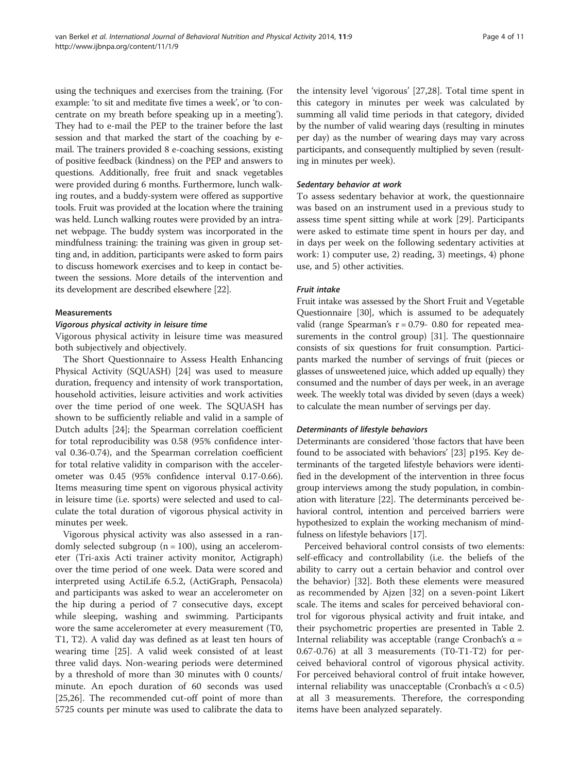using the techniques and exercises from the training. (For example: 'to sit and meditate five times a week', or 'to concentrate on my breath before speaking up in a meeting'). They had to e-mail the PEP to the trainer before the last session and that marked the start of the coaching by email. The trainers provided 8 e-coaching sessions, existing of positive feedback (kindness) on the PEP and answers to questions. Additionally, free fruit and snack vegetables were provided during 6 months. Furthermore, lunch walking routes, and a buddy-system were offered as supportive tools. Fruit was provided at the location where the training was held. Lunch walking routes were provided by an intranet webpage. The buddy system was incorporated in the mindfulness training: the training was given in group setting and, in addition, participants were asked to form pairs to discuss homework exercises and to keep in contact between the sessions. More details of the intervention and its development are described elsewhere [[22](#page-10-0)].

## **Measurements**

## Vigorous physical activity in leisure time

Vigorous physical activity in leisure time was measured both subjectively and objectively.

The Short Questionnaire to Assess Health Enhancing Physical Activity (SQUASH) [\[24](#page-10-0)] was used to measure duration, frequency and intensity of work transportation, household activities, leisure activities and work activities over the time period of one week. The SQUASH has shown to be sufficiently reliable and valid in a sample of Dutch adults [\[24](#page-10-0)]; the Spearman correlation coefficient for total reproducibility was 0.58 (95% confidence interval 0.36-0.74), and the Spearman correlation coefficient for total relative validity in comparison with the accelerometer was 0.45 (95% confidence interval 0.17-0.66). Items measuring time spent on vigorous physical activity in leisure time (i.e. sports) were selected and used to calculate the total duration of vigorous physical activity in minutes per week.

Vigorous physical activity was also assessed in a randomly selected subgroup ( $n = 100$ ), using an accelerometer (Tri-axis Acti trainer activity monitor, Actigraph) over the time period of one week. Data were scored and interpreted using ActiLife 6.5.2, (ActiGraph, Pensacola) and participants was asked to wear an accelerometer on the hip during a period of 7 consecutive days, except while sleeping, washing and swimming. Participants wore the same accelerometer at every measurement (T0, T1, T2). A valid day was defined as at least ten hours of wearing time [[25](#page-10-0)]. A valid week consisted of at least three valid days. Non-wearing periods were determined by a threshold of more than 30 minutes with 0 counts/ minute. An epoch duration of 60 seconds was used [[25,26\]](#page-10-0). The recommended cut-off point of more than 5725 counts per minute was used to calibrate the data to

the intensity level 'vigorous' [\[27,28\]](#page-10-0). Total time spent in this category in minutes per week was calculated by summing all valid time periods in that category, divided by the number of valid wearing days (resulting in minutes per day) as the number of wearing days may vary across participants, and consequently multiplied by seven (resulting in minutes per week).

## Sedentary behavior at work

To assess sedentary behavior at work, the questionnaire was based on an instrument used in a previous study to assess time spent sitting while at work [[29](#page-10-0)]. Participants were asked to estimate time spent in hours per day, and in days per week on the following sedentary activities at work: 1) computer use, 2) reading, 3) meetings, 4) phone use, and 5) other activities.

## Fruit intake

Fruit intake was assessed by the Short Fruit and Vegetable Questionnaire [\[30\]](#page-10-0), which is assumed to be adequately valid (range Spearman's  $r = 0.79 - 0.80$  for repeated mea-surements in the control group) [[31](#page-10-0)]. The questionnaire consists of six questions for fruit consumption. Participants marked the number of servings of fruit (pieces or glasses of unsweetened juice, which added up equally) they consumed and the number of days per week, in an average week. The weekly total was divided by seven (days a week) to calculate the mean number of servings per day.

## Determinants of lifestyle behaviors

Determinants are considered 'those factors that have been found to be associated with behaviors' [\[23\]](#page-10-0) p195. Key determinants of the targeted lifestyle behaviors were identified in the development of the intervention in three focus group interviews among the study population, in combination with literature [[22](#page-10-0)]. The determinants perceived behavioral control, intention and perceived barriers were hypothesized to explain the working mechanism of mindfulness on lifestyle behaviors [[17](#page-9-0)].

Perceived behavioral control consists of two elements: self-efficacy and controllability (i.e. the beliefs of the ability to carry out a certain behavior and control over the behavior) [\[32\]](#page-10-0). Both these elements were measured as recommended by Ajzen [\[32](#page-10-0)] on a seven-point Likert scale. The items and scales for perceived behavioral control for vigorous physical activity and fruit intake, and their psychometric properties are presented in Table [2](#page-4-0). Internal reliability was acceptable (range Cronbach's  $\alpha$  = 0.67-0.76) at all 3 measurements (T0-T1-T2) for perceived behavioral control of vigorous physical activity. For perceived behavioral control of fruit intake however, internal reliability was unacceptable (Cronbach's α < 0.5) at all 3 measurements. Therefore, the corresponding items have been analyzed separately.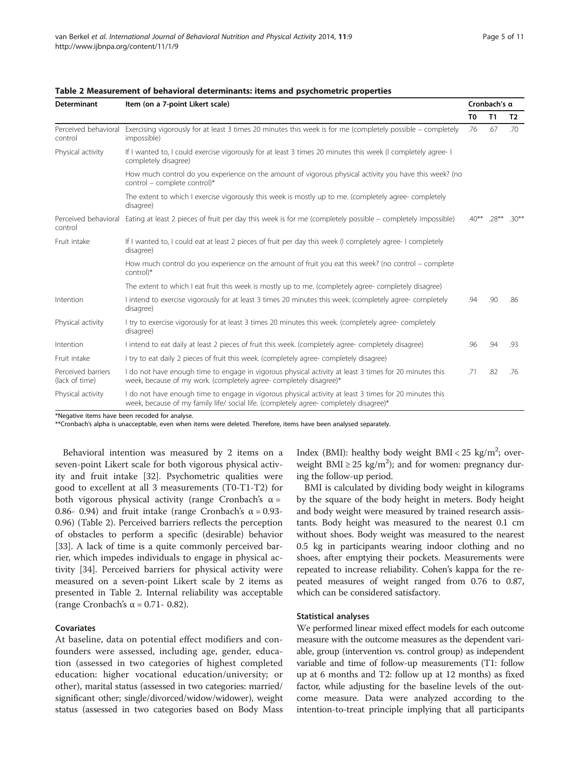| <b>Determinant</b>                   | Item (on a 7-point Likert scale)                                                                                                                                                                 |     |     | Cronbach's a |  |  |
|--------------------------------------|--------------------------------------------------------------------------------------------------------------------------------------------------------------------------------------------------|-----|-----|--------------|--|--|
|                                      |                                                                                                                                                                                                  | T0  | T1  | T2           |  |  |
| control                              | Perceived behavioral Exercising vigorously for at least 3 times 20 minutes this week is for me (completely possible – completely<br>impossible)                                                  | .76 | .67 | .70          |  |  |
| Physical activity                    | If I wanted to, I could exercise vigorously for at least 3 times 20 minutes this week (I completely agree- I<br>completely disagree)                                                             |     |     |              |  |  |
|                                      | How much control do you experience on the amount of vigorous physical activity you have this week? (no<br>control - complete control)*                                                           |     |     |              |  |  |
|                                      | The extent to which I exercise vigorously this week is mostly up to me. (completely agree- completely<br>disagree)                                                                               |     |     |              |  |  |
| control                              | Perceived behavioral Eating at least 2 pieces of fruit per day this week is for me (completely possible – completely impossible)                                                                 |     |     | $30**$       |  |  |
| Fruit intake                         | If I wanted to, I could eat at least 2 pieces of fruit per day this week (I completely agree- I completely<br>disagree)                                                                          |     |     |              |  |  |
|                                      | How much control do you experience on the amount of fruit you eat this week? (no control – complete<br>control)*                                                                                 |     |     |              |  |  |
|                                      | The extent to which I eat fruit this week is mostly up to me. (completely agree- completely disagree)                                                                                            |     |     |              |  |  |
| Intention                            | I intend to exercise vigorously for at least 3 times 20 minutes this week. (completely agree- completely<br>disagree)                                                                            | .94 | .90 | .86          |  |  |
| Physical activity                    | I try to exercise vigorously for at least 3 times 20 minutes this week. (completely agree-completely<br>disagree)                                                                                |     |     |              |  |  |
| Intention                            | I intend to eat daily at least 2 pieces of fruit this week. (completely agree-completely disagree)                                                                                               | .96 | .94 | .93          |  |  |
| Fruit intake                         | I try to eat daily 2 pieces of fruit this week. (completely agree- completely disagree)                                                                                                          |     |     |              |  |  |
| Perceived barriers<br>(lack of time) | I do not have enough time to engage in vigorous physical activity at least 3 times for 20 minutes this<br>week, because of my work. (completely agree- completely disagree)*                     | .71 | .82 | .76          |  |  |
| Physical activity                    | I do not have enough time to engage in vigorous physical activity at least 3 times for 20 minutes this<br>week, because of my family life/ social life. (completely agree- completely disagree)* |     |     |              |  |  |

#### <span id="page-4-0"></span>Table 2 Measurement of behavioral determinants: items and psychometric properties

\*Negative items have been recoded for analyse.

\*\*Cronbach's alpha is unacceptable, even when items were deleted. Therefore, items have been analysed separately.

Behavioral intention was measured by 2 items on a seven-point Likert scale for both vigorous physical activity and fruit intake [\[32](#page-10-0)]. Psychometric qualities were good to excellent at all 3 measurements (T0-T1-T2) for both vigorous physical activity (range Cronbach's  $\alpha$  = 0.86- 0.94) and fruit intake (range Cronbach's  $\alpha$  = 0.93-0.96) (Table 2). Perceived barriers reflects the perception of obstacles to perform a specific (desirable) behavior [[33\]](#page-10-0). A lack of time is a quite commonly perceived barrier, which impedes individuals to engage in physical activity [[34\]](#page-10-0). Perceived barriers for physical activity were measured on a seven-point Likert scale by 2 items as presented in Table 2. Internal reliability was acceptable (range Cronbach's  $\alpha$  = 0.71- 0.82).

## Covariates

At baseline, data on potential effect modifiers and confounders were assessed, including age, gender, education (assessed in two categories of highest completed education: higher vocational education/university; or other), marital status (assessed in two categories: married/ significant other; single/divorced/widow/widower), weight status (assessed in two categories based on Body Mass Index (BMI): healthy body weight  $BMI < 25$  kg/m<sup>2</sup>; overweight BMI  $\geq$  25 kg/m<sup>2</sup>); and for women: pregnancy during the follow-up period.

BMI is calculated by dividing body weight in kilograms by the square of the body height in meters. Body height and body weight were measured by trained research assistants. Body height was measured to the nearest 0.1 cm without shoes. Body weight was measured to the nearest 0.5 kg in participants wearing indoor clothing and no shoes, after emptying their pockets. Measurements were repeated to increase reliability. Cohen's kappa for the repeated measures of weight ranged from 0.76 to 0.87, which can be considered satisfactory.

#### Statistical analyses

We performed linear mixed effect models for each outcome measure with the outcome measures as the dependent variable, group (intervention vs. control group) as independent variable and time of follow-up measurements (T1: follow up at 6 months and T2: follow up at 12 months) as fixed factor, while adjusting for the baseline levels of the outcome measure. Data were analyzed according to the intention-to-treat principle implying that all participants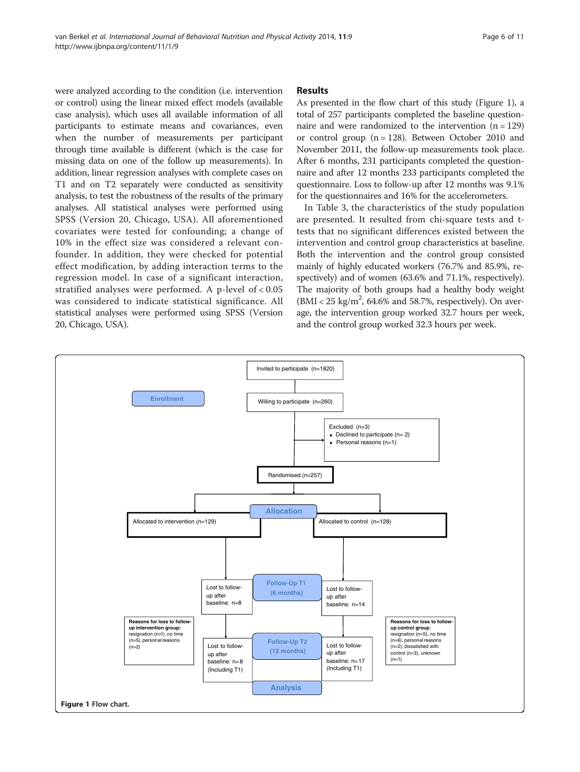were analyzed according to the condition (i.e. intervention or control) using the linear mixed effect models (available case analysis), which uses all available information of all participants to estimate means and covariances, even when the number of measurements per participant through time available is different (which is the case for missing data on one of the follow up measurements). In addition, linear regression analyses with complete cases on T1 and on T2 separately were conducted as sensitivity analysis, to test the robustness of the results of the primary analyses. All statistical analyses were performed using SPSS (Version 20, Chicago, USA). All aforementioned covariates were tested for confounding; a change of 10% in the effect size was considered a relevant confounder. In addition, they were checked for potential effect modification, by adding interaction terms to the regression model. In case of a significant interaction, stratified analyses were performed. A p-level of < 0.05 was considered to indicate statistical significance. All statistical analyses were performed using SPSS (Version 20, Chicago, USA).

## Results

As presented in the flow chart of this study (Figure 1), a total of 257 participants completed the baseline questionnaire and were randomized to the intervention  $(n = 129)$ or control group  $(n = 128)$ . Between October 2010 and November 2011, the follow-up measurements took place. After 6 months, 231 participants completed the questionnaire and after 12 months 233 participants completed the questionnaire. Loss to follow-up after 12 months was 9.1% for the questionnaires and 16% for the accelerometers.

In Table [3,](#page-6-0) the characteristics of the study population are presented. It resulted from chi-square tests and ttests that no significant differences existed between the intervention and control group characteristics at baseline. Both the intervention and the control group consisted mainly of highly educated workers (76.7% and 85.9%, respectively) and of women (63.6% and 71.1%, respectively). The majority of both groups had a healthy body weight  $(BMI < 25 \text{ kg/m}^2, 64.6\% \text{ and } 58.7\%$ , respectively). On average, the intervention group worked 32.7 hours per week, and the control group worked 32.3 hours per week.

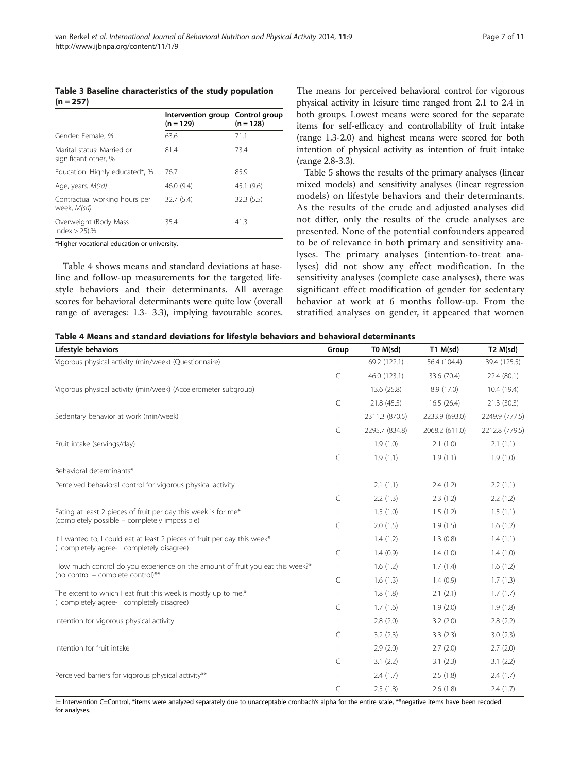<span id="page-6-0"></span>Table 3 Baseline characteristics of the study population  $(n = 257)$ 

|                                                    | Intervention group Control group<br>$(n = 129)$ | $(n = 128)$ |
|----------------------------------------------------|-------------------------------------------------|-------------|
| Gender: Female, %                                  | 63.6                                            | 71.1        |
| Marital status: Married or<br>significant other, % | 81.4                                            | 73.4        |
| Education: Highly educated*, %                     | 76.7                                            | 85.9        |
| Age, years, M(sd)                                  | 46.0(9.4)                                       | 45.1 (9.6)  |
| Contractual working hours per<br>week. M(sd)       | 32.7(5.4)                                       | 32.3(5.5)   |
| Overweight (Body Mass<br>$Index > 25$ .%           | 35.4                                            | 41.3        |

\*Higher vocational education or university.

Table 4 shows means and standard deviations at baseline and follow-up measurements for the targeted lifestyle behaviors and their determinants. All average scores for behavioral determinants were quite low (overall range of averages: 1.3- 3.3), implying favourable scores. The means for perceived behavioral control for vigorous physical activity in leisure time ranged from 2.1 to 2.4 in both groups. Lowest means were scored for the separate items for self-efficacy and controllability of fruit intake (range 1.3-2.0) and highest means were scored for both intention of physical activity as intention of fruit intake (range 2.8-3.3).

Table [5](#page-7-0) shows the results of the primary analyses (linear mixed models) and sensitivity analyses (linear regression models) on lifestyle behaviors and their determinants. As the results of the crude and adjusted analyses did not differ, only the results of the crude analyses are presented. None of the potential confounders appeared to be of relevance in both primary and sensitivity analyses. The primary analyses (intention-to-treat analyses) did not show any effect modification. In the sensitivity analyses (complete case analyses), there was significant effect modification of gender for sedentary behavior at work at 6 months follow-up. From the stratified analyses on gender, it appeared that women

Table 4 Means and standard deviations for lifestyle behaviors and behavioral determinants

| Lifestyle behaviors                                                                                                | Group | T0 M(sd)       | T1 M(sd)       | T2 M(sd)       |
|--------------------------------------------------------------------------------------------------------------------|-------|----------------|----------------|----------------|
| Vigorous physical activity (min/week) (Questionnaire)                                                              |       | 69.2 (122.1)   | 56.4 (104.4)   | 39.4 (125.5)   |
|                                                                                                                    | C     | 46.0 (123.1)   | 33.6 (70.4)    | 22.4 (80.1)    |
| Vigorous physical activity (min/week) (Accelerometer subgroup)                                                     |       | 13.6 (25.8)    | 8.9 (17.0)     | 10.4(19.4)     |
|                                                                                                                    |       | 21.8 (45.5)    | 16.5(26.4)     | 21.3(30.3)     |
| Sedentary behavior at work (min/week)                                                                              |       | 2311.3 (870.5) | 2233.9 (693.0) | 2249.9 (777.5) |
|                                                                                                                    |       | 2295.7 (834.8) | 2068.2 (611.0) | 2212.8 (779.5) |
| Fruit intake (servings/day)                                                                                        |       | 1.9(1.0)       | 2.1(1.0)       | 2.1(1.1)       |
|                                                                                                                    | C     | 1.9(1.1)       | 1.9(1.1)       | 1.9(1.0)       |
| Behavioral determinants*                                                                                           |       |                |                |                |
| Perceived behavioral control for vigorous physical activity                                                        |       | 2.1(1.1)       | 2.4(1.2)       | 2.2(1.1)       |
|                                                                                                                    |       | 2.2(1.3)       | 2.3(1.2)       | 2.2(1.2)       |
| Eating at least 2 pieces of fruit per day this week is for me*                                                     |       | 1.5(1.0)       | 1.5(1.2)       | 1.5(1.1)       |
| (completely possible - completely impossible)                                                                      |       | 2.0(1.5)       | 1.9(1.5)       | 1.6(1.2)       |
| If I wanted to, I could eat at least 2 pieces of fruit per day this week*                                          |       | 1.4(1.2)       | 1.3(0.8)       | 1.4(1.1)       |
| (I completely agree- I completely disagree)                                                                        | C     | 1.4(0.9)       | 1.4(1.0)       | 1.4(1.0)       |
| How much control do you experience on the amount of fruit you eat this week?*<br>(no control - complete control)** |       | 1.6(1.2)       | 1.7(1.4)       | 1.6(1.2)       |
|                                                                                                                    |       | 1.6(1.3)       | 1.4(0.9)       | 1.7(1.3)       |
| The extent to which I eat fruit this week is mostly up to me.*                                                     |       | 1.8(1.8)       | 2.1(2.1)       | 1.7(1.7)       |
| (I completely agree- I completely disagree)                                                                        |       | 1.7(1.6)       | 1.9(2.0)       | 1.9(1.8)       |
| Intention for vigorous physical activity                                                                           |       | 2.8(2.0)       | 3.2(2.0)       | 2.8(2.2)       |
|                                                                                                                    | C     | 3.2(2.3)       | 3.3(2.3)       | 3.0(2.3)       |
| Intention for fruit intake                                                                                         |       | 2.9(2.0)       | 2.7(2.0)       | 2.7(2.0)       |
|                                                                                                                    | C     | 3.1(2.2)       | 3.1(2.3)       | 3.1(2.2)       |
| Perceived barriers for vigorous physical activity**                                                                |       | 2.4(1.7)       | 2.5(1.8)       | 2.4(1.7)       |
|                                                                                                                    | C     | 2.5(1.8)       | 2.6(1.8)       | 2.4(1.7)       |

I= Intervention C=Control, \*items were analyzed separately due to unacceptable cronbach's alpha for the entire scale, \*\*negative items have been recoded for analyses.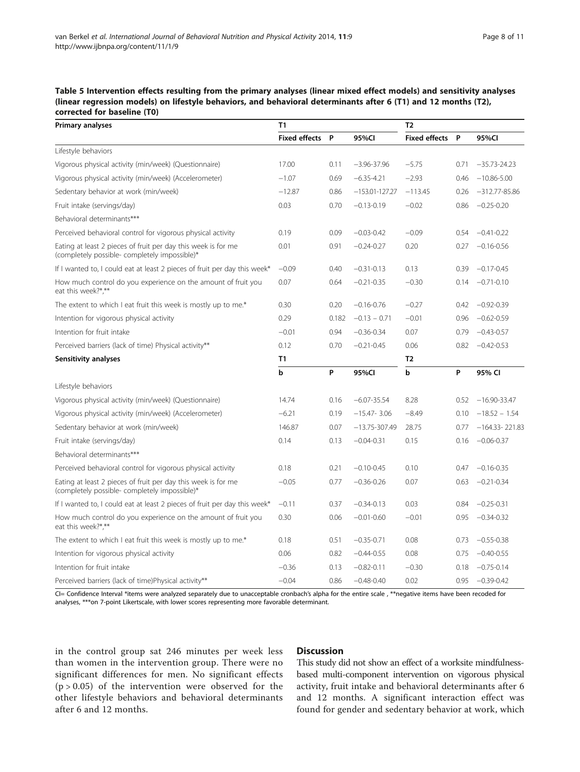## <span id="page-7-0"></span>Table 5 Intervention effects resulting from the primary analyses (linear mixed effect models) and sensitivity analyses (linear regression models) on lifestyle behaviors, and behavioral determinants after 6 (T1) and 12 months (T2), corrected for baseline (T0)

| <b>Primary analyses</b>                                                                                        | T1                   |       |                    | T <sub>2</sub>       |      |                    |
|----------------------------------------------------------------------------------------------------------------|----------------------|-------|--------------------|----------------------|------|--------------------|
|                                                                                                                | <b>Fixed effects</b> | P     | 95%CI              | <b>Fixed effects</b> | P    | 95%CI              |
| Lifestyle behaviors                                                                                            |                      |       |                    |                      |      |                    |
| Vigorous physical activity (min/week) (Questionnaire)                                                          | 17.00                | 0.11  | $-3.96 - 37.96$    | $-5.75$              | 0.71 | $-35.73 - 24.23$   |
| Vigorous physical activity (min/week) (Accelerometer)                                                          | $-1.07$              | 0.69  | $-6.35 - 4.21$     | $-2.93$              | 0.46 | $-10.86 - 5.00$    |
| Sedentary behavior at work (min/week)                                                                          | $-12.87$             | 0.86  | $-153.01 - 127.27$ | $-113.45$            | 0.26 | $-312.77 - 85.86$  |
| Fruit intake (servings/day)                                                                                    | 0.03                 | 0.70  | $-0.13 - 0.19$     | $-0.02$              | 0.86 | $-0.25 - 0.20$     |
| Behavioral determinants***                                                                                     |                      |       |                    |                      |      |                    |
| Perceived behavioral control for vigorous physical activity                                                    | 0.19                 | 0.09  | $-0.03 - 0.42$     | $-0.09$              | 0.54 | $-0.41 - 0.22$     |
| Eating at least 2 pieces of fruit per day this week is for me<br>(completely possible- completely impossible)* | 0.01                 | 0.91  | $-0.24 - 0.27$     | 0.20                 | 0.27 | $-0.16 - 0.56$     |
| If I wanted to, I could eat at least 2 pieces of fruit per day this week*                                      | $-0.09$              | 0.40  | $-0.31 - 0.13$     | 0.13                 | 0.39 | $-0.17 - 0.45$     |
| How much control do you experience on the amount of fruit you<br>eat this week?*,**                            | 0.07                 | 0.64  | $-0.21 - 0.35$     | $-0.30$              | 0.14 | $-0.71 - 0.10$     |
| The extent to which I eat fruit this week is mostly up to me.*                                                 | 0.30                 | 0.20  | $-0.16 - 0.76$     | $-0.27$              | 0.42 | $-0.92 - 0.39$     |
| Intention for vigorous physical activity                                                                       | 0.29                 | 0.182 | $-0.13 - 0.71$     | $-0.01$              | 0.96 | $-0.62 - 0.59$     |
| Intention for fruit intake                                                                                     | $-0.01$              | 0.94  | $-0.36 - 0.34$     | 0.07                 | 0.79 | $-0.43 - 0.57$     |
| Perceived barriers (lack of time) Physical activity**                                                          | 0.12                 | 0.70  | $-0.21 - 0.45$     | 0.06                 | 0.82 | $-0.42 - 0.53$     |
| Sensitivity analyses                                                                                           | T1                   |       |                    | T <sub>2</sub>       |      |                    |
|                                                                                                                | b                    | P     | 95%CI              | $\mathbf b$          | P    | 95% CI             |
| Lifestyle behaviors                                                                                            |                      |       |                    |                      |      |                    |
| Vigorous physical activity (min/week) (Questionnaire)                                                          | 14.74                | 0.16  | $-6.07 - 35.54$    | 8.28                 | 0.52 | $-16.90 - 33.47$   |
| Vigorous physical activity (min/week) (Accelerometer)                                                          | $-6.21$              | 0.19  | $-15.47 - 3.06$    | $-8.49$              | 0.10 | $-18.52 - 1.54$    |
| Sedentary behavior at work (min/week)                                                                          | 146.87               | 0.07  | $-13.75 - 307.49$  | 28.75                | 0.77 | $-164.33 - 221.83$ |
| Fruit intake (servings/day)                                                                                    | 0.14                 | 0.13  | $-0.04 - 0.31$     | 0.15                 | 0.16 | $-0.06 - 0.37$     |
| Behavioral determinants***                                                                                     |                      |       |                    |                      |      |                    |
| Perceived behavioral control for vigorous physical activity                                                    | 0.18                 | 0.21  | $-0.10 - 0.45$     | 0.10                 | 0.47 | $-0.16 - 0.35$     |
| Eating at least 2 pieces of fruit per day this week is for me<br>(completely possible- completely impossible)* | $-0.05$              | 0.77  | $-0.36 - 0.26$     | 0.07                 | 0.63 | $-0.21 - 0.34$     |
| If I wanted to, I could eat at least 2 pieces of fruit per day this week*                                      | $-0.11$              | 0.37  | $-0.34 - 0.13$     | 0.03                 | 0.84 | $-0.25 - 0.31$     |
| How much control do you experience on the amount of fruit you<br>eat this week?*,**                            | 0.30                 | 0.06  | $-0.01 - 0.60$     | $-0.01$              | 0.95 | $-0.34 - 0.32$     |
| The extent to which I eat fruit this week is mostly up to me.*                                                 | 0.18                 | 0.51  | $-0.35 - 0.71$     | 0.08                 | 0.73 | $-0.55 - 0.38$     |
| Intention for vigorous physical activity                                                                       | 0.06                 | 0.82  | $-0.44 - 0.55$     | 0.08                 | 0.75 | $-0.40 - 0.55$     |
| Intention for fruit intake                                                                                     | $-0.36$              | 0.13  | $-0.82 - 0.11$     | $-0.30$              | 0.18 | $-0.75 - 0.14$     |
| Perceived barriers (lack of time)Physical activity**                                                           | $-0.04$              | 0.86  | $-0.48 - 0.40$     | 0.02                 | 0.95 | $-0.39 - 0.42$     |

CI= Confidence Interval \*items were analyzed separately due to unacceptable cronbach's alpha for the entire scale , \*\*negative items have been recoded for analyses, \*\*\*on 7-point Likertscale, with lower scores representing more favorable determinant.

in the control group sat 246 minutes per week less than women in the intervention group. There were no significant differences for men. No significant effects  $(p > 0.05)$  of the intervention were observed for the other lifestyle behaviors and behavioral determinants after 6 and 12 months.

## **Discussion**

This study did not show an effect of a worksite mindfulnessbased multi-component intervention on vigorous physical activity, fruit intake and behavioral determinants after 6 and 12 months. A significant interaction effect was found for gender and sedentary behavior at work, which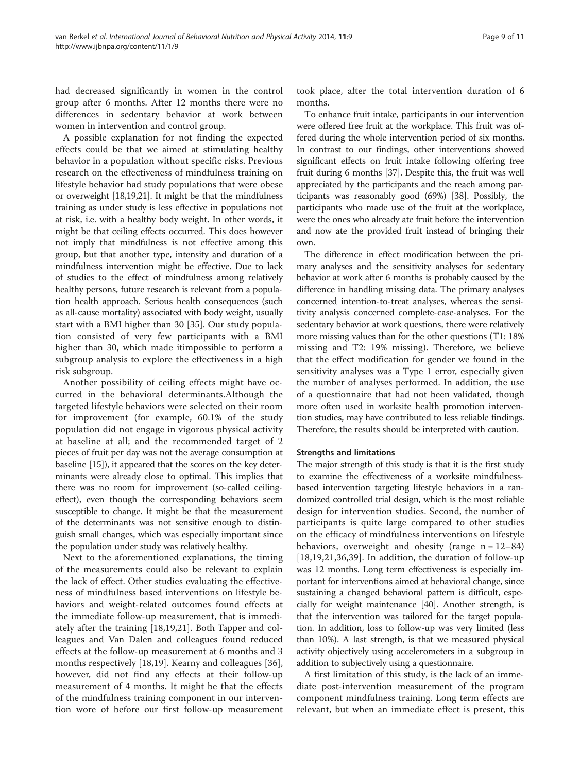had decreased significantly in women in the control group after 6 months. After 12 months there were no differences in sedentary behavior at work between women in intervention and control group.

A possible explanation for not finding the expected effects could be that we aimed at stimulating healthy behavior in a population without specific risks. Previous research on the effectiveness of mindfulness training on lifestyle behavior had study populations that were obese or overweight [\[18,](#page-9-0)[19,21](#page-10-0)]. It might be that the mindfulness training as under study is less effective in populations not at risk, i.e. with a healthy body weight. In other words, it might be that ceiling effects occurred. This does however not imply that mindfulness is not effective among this group, but that another type, intensity and duration of a mindfulness intervention might be effective. Due to lack of studies to the effect of mindfulness among relatively healthy persons, future research is relevant from a population health approach. Serious health consequences (such as all-cause mortality) associated with body weight, usually start with a BMI higher than 30 [[35](#page-10-0)]. Our study population consisted of very few participants with a BMI higher than 30, which made itimpossible to perform a subgroup analysis to explore the effectiveness in a high risk subgroup.

Another possibility of ceiling effects might have occurred in the behavioral determinants.Although the targeted lifestyle behaviors were selected on their room for improvement (for example, 60.1% of the study population did not engage in vigorous physical activity at baseline at all; and the recommended target of 2 pieces of fruit per day was not the average consumption at baseline [\[15\]](#page-9-0)), it appeared that the scores on the key determinants were already close to optimal. This implies that there was no room for improvement (so-called ceilingeffect), even though the corresponding behaviors seem susceptible to change. It might be that the measurement of the determinants was not sensitive enough to distinguish small changes, which was especially important since the population under study was relatively healthy.

Next to the aforementioned explanations, the timing of the measurements could also be relevant to explain the lack of effect. Other studies evaluating the effectiveness of mindfulness based interventions on lifestyle behaviors and weight-related outcomes found effects at the immediate follow-up measurement, that is immediately after the training [[18,](#page-9-0)[19,21](#page-10-0)]. Both Tapper and colleagues and Van Dalen and colleagues found reduced effects at the follow-up measurement at 6 months and 3 months respectively [[18,](#page-9-0)[19\]](#page-10-0). Kearny and colleagues [[36](#page-10-0)], however, did not find any effects at their follow-up measurement of 4 months. It might be that the effects of the mindfulness training component in our intervention wore of before our first follow-up measurement

took place, after the total intervention duration of 6 months.

To enhance fruit intake, participants in our intervention were offered free fruit at the workplace. This fruit was offered during the whole intervention period of six months. In contrast to our findings, other interventions showed significant effects on fruit intake following offering free fruit during 6 months [\[37](#page-10-0)]. Despite this, the fruit was well appreciated by the participants and the reach among participants was reasonably good (69%) [[38](#page-10-0)]. Possibly, the participants who made use of the fruit at the workplace, were the ones who already ate fruit before the intervention and now ate the provided fruit instead of bringing their own.

The difference in effect modification between the primary analyses and the sensitivity analyses for sedentary behavior at work after 6 months is probably caused by the difference in handling missing data. The primary analyses concerned intention-to-treat analyses, whereas the sensitivity analysis concerned complete-case-analyses. For the sedentary behavior at work questions, there were relatively more missing values than for the other questions (T1: 18% missing and T2: 19% missing). Therefore, we believe that the effect modification for gender we found in the sensitivity analyses was a Type 1 error, especially given the number of analyses performed. In addition, the use of a questionnaire that had not been validated, though more often used in worksite health promotion intervention studies, may have contributed to less reliable findings. Therefore, the results should be interpreted with caution.

## Strengths and limitations

The major strength of this study is that it is the first study to examine the effectiveness of a worksite mindfulnessbased intervention targeting lifestyle behaviors in a randomized controlled trial design, which is the most reliable design for intervention studies. Second, the number of participants is quite large compared to other studies on the efficacy of mindfulness interventions on lifestyle behaviors, overweight and obesity (range  $n = 12-84$ ) [[18](#page-9-0),[19,21](#page-10-0),[36,39](#page-10-0)]. In addition, the duration of follow-up was 12 months. Long term effectiveness is especially important for interventions aimed at behavioral change, since sustaining a changed behavioral pattern is difficult, especially for weight maintenance [\[40](#page-10-0)]. Another strength, is that the intervention was tailored for the target population. In addition, loss to follow-up was very limited (less than 10%). A last strength, is that we measured physical activity objectively using accelerometers in a subgroup in addition to subjectively using a questionnaire.

A first limitation of this study, is the lack of an immediate post-intervention measurement of the program component mindfulness training. Long term effects are relevant, but when an immediate effect is present, this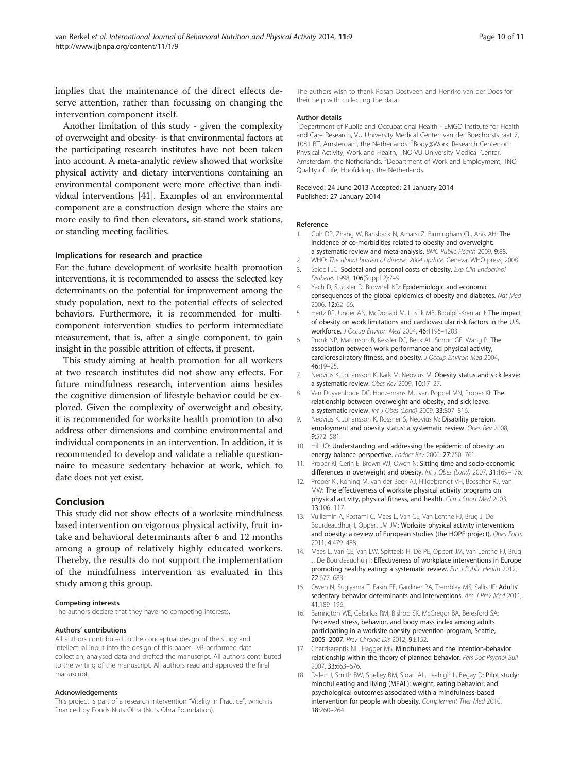<span id="page-9-0"></span>implies that the maintenance of the direct effects deserve attention, rather than focussing on changing the

intervention component itself. Another limitation of this study - given the complexity of overweight and obesity- is that environmental factors at the participating research institutes have not been taken into account. A meta-analytic review showed that worksite physical activity and dietary interventions containing an environmental component were more effective than individual interventions [\[41\]](#page-10-0). Examples of an environmental component are a construction design where the stairs are more easily to find then elevators, sit-stand work stations, or standing meeting facilities.

## Implications for research and practice

For the future development of worksite health promotion interventions, it is recommended to assess the selected key determinants on the potential for improvement among the study population, next to the potential effects of selected behaviors. Furthermore, it is recommended for multicomponent intervention studies to perform intermediate measurement, that is, after a single component, to gain insight in the possible attrition of effects, if present.

This study aiming at health promotion for all workers at two research institutes did not show any effects. For future mindfulness research, intervention aims besides the cognitive dimension of lifestyle behavior could be explored. Given the complexity of overweight and obesity, it is recommended for worksite health promotion to also address other dimensions and combine environmental and individual components in an intervention. In addition, it is recommended to develop and validate a reliable questionnaire to measure sedentary behavior at work, which to date does not yet exist.

### Conclusion

This study did not show effects of a worksite mindfulness based intervention on vigorous physical activity, fruit intake and behavioral determinants after 6 and 12 months among a group of relatively highly educated workers. Thereby, the results do not support the implementation of the mindfulness intervention as evaluated in this study among this group.

#### Competing interests

The authors declare that they have no competing interests.

#### Authors' contributions

All authors contributed to the conceptual design of the study and intellectual input into the design of this paper. JvB performed data collection, analysed data and drafted the manuscript. All authors contributed to the writing of the manuscript. All authors read and approved the final manuscript.

#### Acknowledgements

This project is part of a research intervention "Vitality In Practice", which is financed by Fonds Nuts Ohra (Nuts Ohra Foundation).

The authors wish to thank Rosan Oostveen and Henrike van der Does for their help with collecting the data.

#### Author details

<sup>1</sup>Department of Public and Occupational Health - EMGO Institute for Health and Care Research, VU University Medical Center, van der Boechorststraat 7, 1081 BT, Amsterdam, the Netherlands. <sup>2</sup>Body@Work, Research Center on Physical Activity, Work and Health, TNO-VU University Medical Center, Amsterdam, the Netherlands. <sup>3</sup>Department of Work and Employment, TNC Quality of Life, Hoofddorp, the Netherlands.

#### Received: 24 June 2013 Accepted: 21 January 2014 Published: 27 January 2014

#### Reference

- 1. Guh DP, Zhang W, Bansback N, Amarsi Z, Birmingham CL, Anis AH: The incidence of co-morbidities related to obesity and overweight: a systematic review and meta-analysis. BMC Public Health 2009, 9:88.
- 2. WHO: The global burden of disease: 2004 update. Geneva: WHO press; 2008.
- 3. Seidell JC: Societal and personal costs of obesity. Exp Clin Endocrinol Diabetes 1998, 106(Suppl 2):7–9.
- 4. Yach D, Stuckler D, Brownell KD: Epidemiologic and economic consequences of the global epidemics of obesity and diabetes. Nat Med 2006, 12:62–66.
- 5. Hertz RP, Unger AN, McDonald M, Lustik MB, Bidulph-Krentar J: The impact of obesity on work limitations and cardiovascular risk factors in the U.S. workforce. J Occup Environ Med 2004, 46:1196–1203.
- 6. Pronk NP, Martinson B, Kessler RC, Beck AL, Simon GE, Wang P: The association between work performance and physical activity, cardiorespiratory fitness, and obesity. J Occup Environ Med 2004, 46:19–25.
- 7. Neovius K, Johansson K, Kark M, Neovius M: Obesity status and sick leave: a systematic review. Obes Rev 2009, 10:17–27.
- 8. Van Duyvenbode DC, Hoozemans MJ, van Poppel MN, Proper KI: The relationship between overweight and obesity, and sick leave: a systematic review. Int J Obes (Lond) 2009, 33:807–816.
- 9. Neovius K, Johansson K, Rossner S, Neovius M: Disability pension, employment and obesity status: a systematic review. Obes Rev 2008, 9:572–581.
- 10. Hill JO: Understanding and addressing the epidemic of obesity: an energy balance perspective. Endocr Rev 2006, 27:750–761.
- 11. Proper KI, Cerin E, Brown WJ, Owen N: Sitting time and socio-economic differences in overweight and obesity. Int J Obes (Lond) 2007, 31:169-176.
- 12. Proper KI, Koning M, van der Beek AJ, Hildebrandt VH, Bosscher RJ, van MW: The effectiveness of worksite physical activity programs on physical activity, physical fitness, and health. Clin J Sport Med 2003, 13:106–117.
- 13. Vuillemin A, Rostami C, Maes L, Van CE, Van Lenthe FJ, Brug J, De Bourdeaudhuij I, Oppert JM JM: Worksite physical activity interventions and obesity: a review of European studies (the HOPE project). Obes Facts 2011, 4:479–488.
- 14. Maes L, Van CE, Van LW, Spittaels H, De PE, Oppert JM, Van Lenthe FJ, Brug J, De Bourdeaudhuij I: Effectiveness of workplace interventions in Europe promoting healthy eating: a systematic review. Eur J Public Health 2012, 22:677–683.
- 15. Owen N, Sugiyama T, Eakin EE, Gardiner PA, Tremblay MS, Sallis JF: Adults' sedentary behavior determinants and interventions. Am J Prev Med 2011, 41:189–196.
- 16. Barrington WE, Ceballos RM, Bishop SK, McGregor BA, Beresford SA: Perceived stress, behavior, and body mass index among adults participating in a worksite obesity prevention program, Seattle, 2005–2007. Prev Chronic Dis 2012, 9:E152.
- 17. Chatzisarantis NL, Hagger MS: Mindfulness and the intention-behavior relationship within the theory of planned behavior. Pers Soc Psychol Bull 2007, 33:663–676.
- 18. Dalen J, Smith BW, Shelley BM, Sloan AL, Leahigh L, Begay D: Pilot study: mindful eating and living (MEAL): weight, eating behavior, and psychological outcomes associated with a mindfulness-based intervention for people with obesity. Complement Ther Med 2010, 18:260–264.